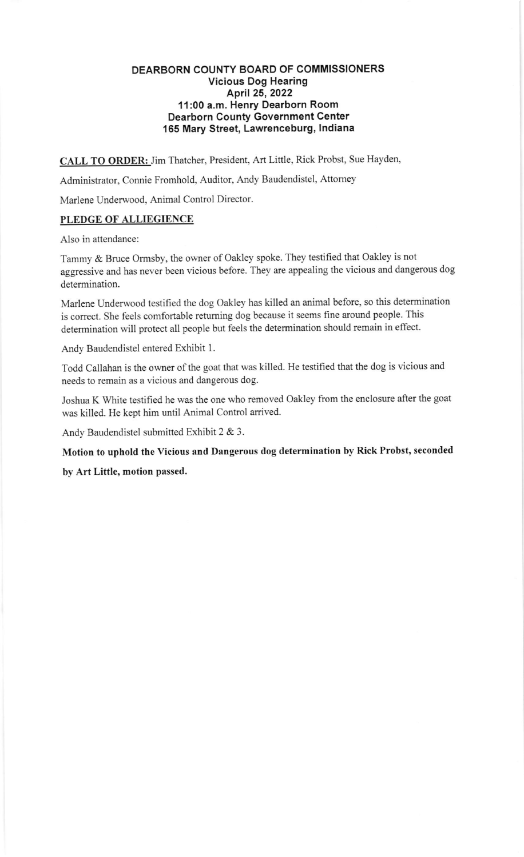## DEARBORN COUNTY BOARD OF COMMISSIONERS Vicious Dog Hearing April 25,2022 11:00 a.m. Henry Dearborn Room Dearborn County Government Center 155 Mary Street, Lawrenceburg, lndiana

CALL TO ORDER: Jim Thatcher, President, Art Little, Rick Probst, Sue Hayden,

Administrator, Connie Fromhold, Auditor, Andy Baudendistel, Attomey

Marlene Underwood, Animal Control Director.

## PLEDGE OF ALLIEGIENCE

Also in attendance:

Tammy & Bruce Ormsby, the owner of Oakley spoke. They testified that Oakley is not aggressive and has never been vicious before. They are appealing the vicious and dangerous dog determination.

Marlene Underwood testifred the dog Oakley has killed an animal before, so this determination is correct. She feels comfortable returning dog because it seems fine around people. This determination will protect all people but feels the determination should remain in effect.

Andy Baudendistel entered Exhibit <sup>1</sup>

Todd Callahan is the owner of the goat that was killed. He testified that the dog is vicious and needs to remain as a vicious and dangerous dog.

Joshua K White testified he was the one who removed Oakley from the enclosure after the goat was killed. He kept him until Animal Control arrived.

Andy Baudendistel submitted Exhibit 2 & 3.

Motion to uphold the vicious and Dangerous dog determination by Rick Probst, seconded

by Art Little, motion passed.